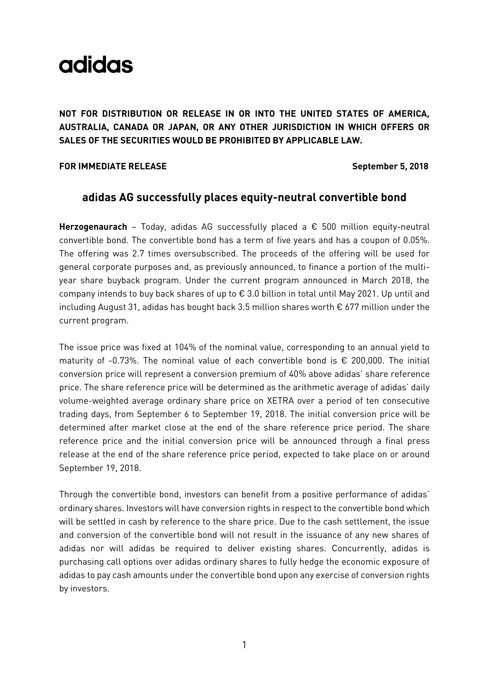**NOT FOR DISTRIBUTION OR RELEASE IN OR INTO THE UNITED STATES OF AMERICA, AUSTRALIA, CANADA OR JAPAN, OR ANY OTHER JURISDICTION IN WHICH OFFERS OR SALES OF THE SECURITIES WOULD BE PROHIBITED BY APPLICABLE LAW.**

#### **FOR IMMEDIATE RELEASE** September 5, 2018

### **adidas AG successfully places equity-neutral convertible bond**

**Herzogenaurach** – Today, adidas AG successfully placed a € 500 million equity-neutral convertible bond. The convertible bond has a term of five years and has a coupon of 0.05%. The offering was 2.7 times oversubscribed. The proceeds of the offering will be used for general corporate purposes and, as previously announced, to finance a portion of the multiyear share buyback program. Under the current program announced in March 2018, the company intends to buy back shares of up to € 3.0 billion in total until May 2021. Up until and including August 31, adidas has bought back 3.5 million shares worth € 677 million under the current program.

The issue price was fixed at 104% of the nominal value, corresponding to an annual yield to maturity of -0.73%. The nominal value of each convertible bond is € 200,000. The initial conversion price will represent a conversion premium of 40% above adidas' share reference price. The share reference price will be determined as the arithmetic average of adidas' daily volume-weighted average ordinary share price on XETRA over a period of ten consecutive trading days, from September 6 to September 19, 2018. The initial conversion price will be determined after market close at the end of the share reference price period. The share reference price and the initial conversion price will be announced through a final press release at the end of the share reference price period, expected to take place on or around September 19, 2018.

Through the convertible bond, investors can benefit from a positive performance of adidas' ordinary shares. Investors will have conversion rights in respect to the convertible bond which will be settled in cash by reference to the share price. Due to the cash settlement, the issue and conversion of the convertible bond will not result in the issuance of any new shares of adidas nor will adidas be required to deliver existing shares. Concurrently, adidas is purchasing call options over adidas ordinary shares to fully hedge the economic exposure of adidas to pay cash amounts under the convertible bond upon any exercise of conversion rights by investors.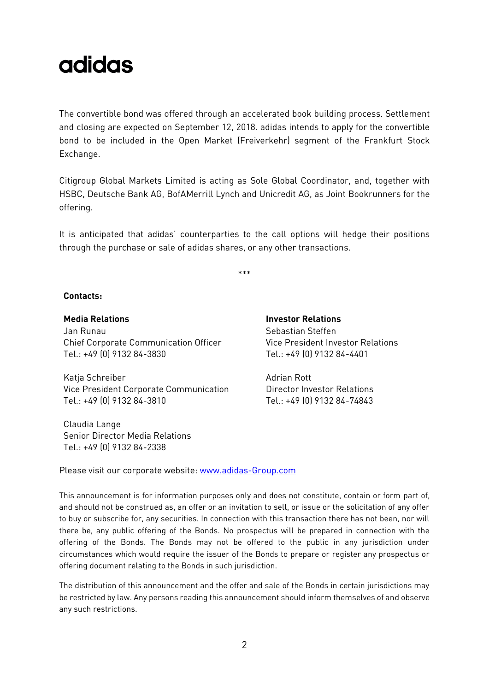The convertible bond was offered through an accelerated book building process. Settlement and closing are expected on September 12, 2018. adidas intends to apply for the convertible bond to be included in the Open Market (Freiverkehr) segment of the Frankfurt Stock Exchange.

Citigroup Global Markets Limited is acting as Sole Global Coordinator, and, together with HSBC, Deutsche Bank AG, BofAMerrill Lynch and Unicredit AG, as Joint Bookrunners for the offering.

It is anticipated that adidas' counterparties to the call options will hedge their positions through the purchase or sale of adidas shares, or any other transactions.

\*\*\*

#### **Contacts:**

**Media Relations Investor Relations** Jan Runau Chief Corporate Communication Officer Tel.: +49 (0) 9132 84-3830

Katja Schreiber **Adrian Rott** Adrian Rott Vice President Corporate Communication Tel.: +49 (0) 9132 84-3810

Claudia Lange Senior Director Media Relations Tel.: +49 (0) 9132 84-2338

Sebastian Steffen Vice President Investor Relations Tel.: +49 (0) 9132 84-4401

Director Investor Relations Tel.: +49 (0) 9132 84-74843

Please visit our corporate website: [www.adidas-Group.com](http://www.adidas-group.com/)

This announcement is for information purposes only and does not constitute, contain or form part of, and should not be construed as, an offer or an invitation to sell, or issue or the solicitation of any offer to buy or subscribe for, any securities. In connection with this transaction there has not been, nor will there be, any public offering of the Bonds. No prospectus will be prepared in connection with the offering of the Bonds. The Bonds may not be offered to the public in any jurisdiction under circumstances which would require the issuer of the Bonds to prepare or register any prospectus or offering document relating to the Bonds in such jurisdiction.

The distribution of this announcement and the offer and sale of the Bonds in certain jurisdictions may be restricted by law. Any persons reading this announcement should inform themselves of and observe any such restrictions.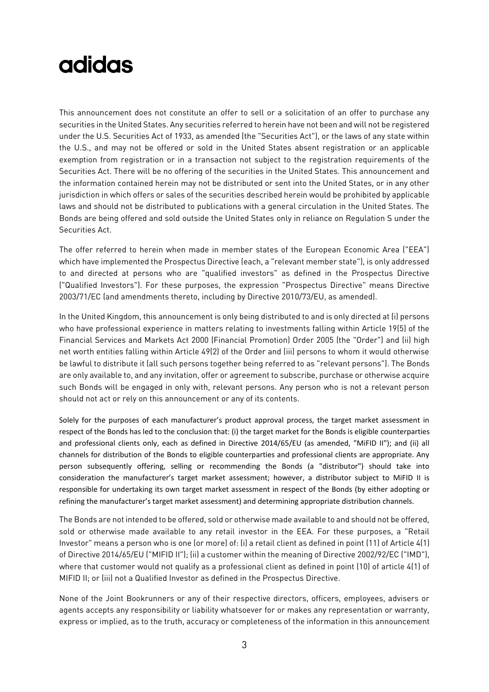This announcement does not constitute an offer to sell or a solicitation of an offer to purchase any securities in the United States. Any securities referred to herein have not been and will not be registered under the U.S. Securities Act of 1933, as amended (the "Securities Act"), or the laws of any state within the U.S., and may not be offered or sold in the United States absent registration or an applicable exemption from registration or in a transaction not subject to the registration requirements of the Securities Act. There will be no offering of the securities in the United States. This announcement and the information contained herein may not be distributed or sent into the United States, or in any other jurisdiction in which offers or sales of the securities described herein would be prohibited by applicable laws and should not be distributed to publications with a general circulation in the United States. The Bonds are being offered and sold outside the United States only in reliance on Regulation S under the Securities Act.

The offer referred to herein when made in member states of the European Economic Area ("EEA") which have implemented the Prospectus Directive (each, a "relevant member state"), is only addressed to and directed at persons who are "qualified investors" as defined in the Prospectus Directive ("Qualified Investors"). For these purposes, the expression "Prospectus Directive" means Directive 2003/71/EC (and amendments thereto, including by Directive 2010/73/EU, as amended).

In the United Kingdom, this announcement is only being distributed to and is only directed at (i) persons who have professional experience in matters relating to investments falling within Article 19(5) of the Financial Services and Markets Act 2000 (Financial Promotion) Order 2005 (the "Order") and (ii) high net worth entities falling within Article 49(2) of the Order and (iii) persons to whom it would otherwise be lawful to distribute it (all such persons together being referred to as "relevant persons"). The Bonds are only available to, and any invitation, offer or agreement to subscribe, purchase or otherwise acquire such Bonds will be engaged in only with, relevant persons. Any person who is not a relevant person should not act or rely on this announcement or any of its contents.

Solely for the purposes of each manufacturer's product approval process, the target market assessment in respect of the Bonds has led to the conclusion that: (i) the target market for the Bonds is eligible counterparties and professional clients only, each as defined in Directive 2014/65/EU (as amended, "MiFID II"); and (ii) all channels for distribution of the Bonds to eligible counterparties and professional clients are appropriate. Any person subsequently offering, selling or recommending the Bonds (a "distributor") should take into consideration the manufacturer's target market assessment; however, a distributor subject to MiFID II is responsible for undertaking its own target market assessment in respect of the Bonds (by either adopting or refining the manufacturer's target market assessment) and determining appropriate distribution channels.

The Bonds are not intended to be offered, sold or otherwise made available to and should not be offered, sold or otherwise made available to any retail investor in the EEA. For these purposes, a "Retail Investor" means a person who is one (or more) of: (i) a retail client as defined in point (11) of Article 4(1) of Directive 2014/65/EU ("MIFID II"); (ii) a customer within the meaning of Directive 2002/92/EC ("IMD"), where that customer would not qualify as a professional client as defined in point (10) of article 4(1) of MIFID II; or (iii) not a Qualified Investor as defined in the Prospectus Directive.

None of the Joint Bookrunners or any of their respective directors, officers, employees, advisers or agents accepts any responsibility or liability whatsoever for or makes any representation or warranty, express or implied, as to the truth, accuracy or completeness of the information in this announcement